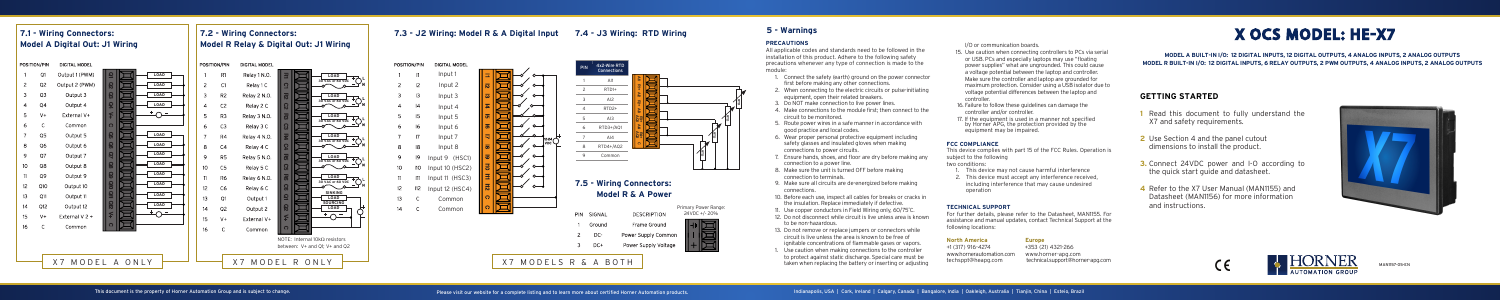### **GETTING STARTED**

- **1** Read this document to fully understand the X7 and safety requirements.
- **2** Use Section 4 and the panel cutout dimensions to install the product.
- **3.** Connect 24VDC power and I-O according to the quick start guide and datasheet.
- **4** Refer to the X7 User Manual (MAN1155) and Datasheet (MAN1156) for more information and instructions.







**MODEL A BUILT-IN I/O: 12 DIGITAL INPUTS, 12 DIGITAL OUTPUTS, 4 ANALOG INPUTS, 2 ANALOG OUTPUTS MODEL R BUILT-IN I/O: 12 DIGITAL INPUTS, 6 RELAY OUTPUTS, 2 PWM OUTPUTS, 4 ANALOG INPUTS, 2 ANALOG OUTPUTS**

MAN1157-05-EN

# X OCS MODEL: HE-X7

#### **PRECAUTIONS**

All applicable codes and standards need to be followed in the installation of this product. Adhere to the following safety precautions whenever any type of connection is made to the module:

- 1. Connect the safety (earth) ground on the power connector first before making any other connections.
- 2. When connecting to the electric circuits or pulse-initiating equipment, open their related breakers.
- 3. Do NOT make connection to live power lines.
- 4. Make connections to the module first; then connect to the circuit to be monitored.
- 5. Route power wires in a safe manner in accordance with good practice and local codes.
- 6. Wear proper personal protective equipment including safety glasses and insulated gloves when making connections to power circuits.
- 7. Ensure hands, shoes, and floor are dry before making any connection to a power line.
- 8. Make sure the unit is turned OFF before making connection to terminals.
- 9. Make sure all circuits are de-energized before making connections.
- 10. Before each use, inspect all cables for breaks or cracks in the insulation. Replace immediately if defective.
- 11. Use copper conductors in Field Wiring only, 60/75˚C.
- 12. Do not disconnect while circuit is live unless area is known to be non-hazardous.
- 13. Do not remove or replace jumpers or connectors while circuit is live unless the area is known to be free of ignitable concentrations of flammable gases or vapors.
- 1. Use caution when making connections to the controller to protect against static discharge. Special care must be taken when replacing the battery or inserting or adjusting

I/O or communication boards.

- 15. Use caution when connecting controllers to PCs via serial or USB. PCs and especially laptops may use "floating power supplies" what are ungrounded. This could cause a voltage potential between the laptop and controller. Make sure the controller and laptop are grounded for maximum protection. Consider using a USB isolator due to voltage potential differences between the laptop and controller.
- 16. Failure to follow these guidelines can damage the controller and/or controller.
- 17. If the equipment is used in a manner not specified by Horner APG, the protection provided by the equipment may be impaired.

#### **FCC COMPLIANCE**

This device complies with part 15 of the FCC Rules. Operation is subject to the following

two conditions:

- 1. This device may not cause harmful interference
- 2. This device must accept any interference received, including interference that may cause undesired operation

#### **TECHNICAL SUPPORT**

For further details, please refer to the Datasheet, MAN1155. For assistance and manual updates, contact Technical Support at the following locations:

## **North America Europe**<br>+1 (317) 916-4274 +353 (21

www.hornerautomation.com www.horner-apg.com

+353 (21) 4321-266 technical.support@horner-apg.com

#### **5 - Warnings**

### **7.1 - Wiring Connectors: Model A Digital Out: J1 Wiring**

### **7.2 - Wiring Connectors: Model R Relay & Digital Out: J1 Wiring**

 $C1$ 

**R2** 

 $C<sub>2</sub>$ 

 $R3$ 

 $C3$ 

 $R4$ 

 $C4$ 

**R5** 

 $C5$ 

**R6** 

 $C6$ 

 $Q<sub>2</sub>$ 

 $V +$ 





| IN | SIGNAL | <b>DESCRIPTION</b>   | Primary Power Range:<br>24VDC +/-20% |
|----|--------|----------------------|--------------------------------------|
|    | Ground | Frame Ground         |                                      |
|    | DC-    | Power Supply Common  |                                      |
|    | $DC+$  | Power Supply Voltage |                                      |
|    |        |                      |                                      |

### **7.5 - Wiring Connectors: Model R & A Power**

#### **7.3 - J2 Wiring: Model R & A Digital Input 7.4 - J3 Wiring: RTD Wiring**



 $\overline{12}$ 

 $\overline{13}$ 

 $|4$ 

 $|5|$ 

 $\overline{16}$ 

 $|8$